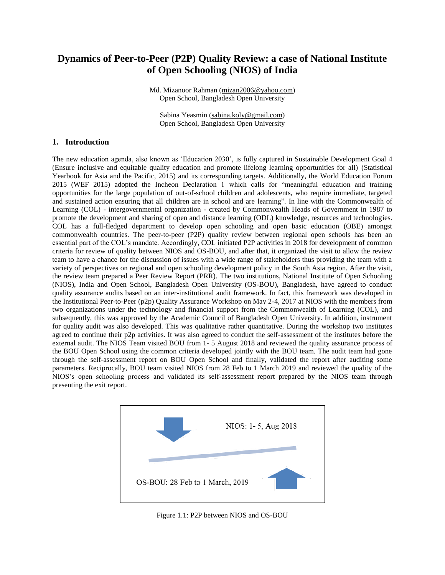# **Dynamics of Peer-to-Peer (P2P) Quality Review: a case of National Institute of Open Schooling (NIOS) of India**

Md. Mizanoor Rahman [\(mizan2006@yahoo.com\)](mailto:mizan2006@yahoo.com) Open School, Bangladesh Open University

Sabina Yeasmin [\(sabina.koly@gmail.com\)](mailto:sabina.koly@gmail.com) Open School, Bangladesh Open University

## **1. Introduction**

The new education agenda, also known as 'Education 2030', is fully captured in Sustainable Development Goal 4 (Ensure inclusive and equitable quality education and promote lifelong learning opportunities for all) (Statistical Yearbook for Asia and the Pacific, 2015) and its corresponding targets. Additionally, the World Education Forum 2015 (WEF 2015) adopted the Incheon Declaration 1 which calls for "meaningful education and training opportunities for the large population of out-of-school children and adolescents, who require immediate, targeted and sustained action ensuring that all children are in school and are learning". In line with the Commonwealth of Learning (COL) - intergovernmental organization - created by Commonwealth Heads of Government in 1987 to promote the development and sharing of open and distance learning (ODL) knowledge, resources and technologies. COL has a full-fledged department to develop open schooling and open basic education (OBE) amongst commonwealth countries. The peer-to-peer (P2P) quality review between regional open schools has been an essential part of the COL's mandate. Accordingly, COL initiated P2P activities in 2018 for development of common criteria for review of quality between NIOS and OS-BOU, and after that, it organized the visit to allow the review team to have a chance for the discussion of issues with a wide range of stakeholders thus providing the team with a variety of perspectives on regional and open schooling development policy in the South Asia region. After the visit, the review team prepared a Peer Review Report (PRR). The two institutions, National Institute of Open Schooling (NIOS), India and Open School, Bangladesh Open University (OS-BOU), Bangladesh, have agreed to conduct quality assurance audits based on an inter-institutional audit framework. In fact, this framework was developed in the Institutional Peer-to-Peer (p2p) Quality Assurance Workshop on May 2-4, 2017 at NIOS with the members from two organizations under the technology and financial support from the Commonwealth of Learning (COL), and subsequently, this was approved by the Academic Council of Bangladesh Open University. In addition, instrument for quality audit was also developed. This was qualitative rather quantitative. During the workshop two institutes agreed to continue their p2p activities. It was also agreed to conduct the self-assessment of the institutes before the external audit. The NIOS Team visited BOU from 1- 5 August 2018 and reviewed the quality assurance process of the BOU Open School using the common criteria developed jointly with the BOU team. The audit team had gone through the self-assessment report on BOU Open School and finally, validated the report after auditing some parameters. Reciprocally, BOU team visited NIOS from 28 Feb to 1 March 2019 and reviewed the quality of the NIOS's open schooling process and validated its self-assessment report prepared by the NIOS team through presenting the exit report.



Figure 1.1: P2P between NIOS and OS-BOU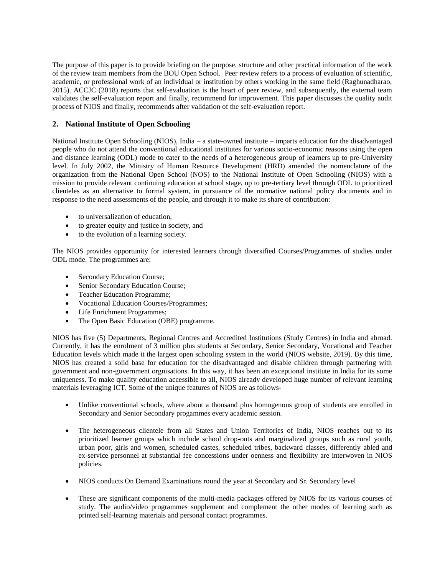The purpose of this paper is to provide briefing on the purpose, structure and other practical information of the work of the review team members from the BOU Open School. Peer review refers to a process of evaluation of scientific, academic, or professional work of an individual or institution by others working in the same field (Raghunadharao, 2015). ACCJC (2018) reports that self-evaluation is the heart of peer review, and subsequently, the external team validates the self-evaluation report and finally, recommend for improvement. This paper discusses the quality audit process of NIOS and finally, recommends after validation of the self-evaluation report.

## **2. National Institute of Open Schooling**

National Institute Open Schooling (NIOS), India – a state-owned institute – imparts education for the disadvantaged people who do not attend the conventional educational institutes for various socio-economic reasons using the open and distance learning (ODL) mode to cater to the needs of a heterogeneous group of learners up to pre-University level. In July 2002, the Ministry of Human Resource Development (HRD) amended the nomenclature of the organization from the National Open School (NOS) to the National Institute of Open Schooling (NIOS) with a mission to provide relevant continuing education at school stage, up to pre-tertiary level through ODL to prioritized clienteles as an alternative to formal system, in pursuance of the normative national policy documents and in response to the need assessments of the people, and through it to make its share of contribution:

- to universalization of education,
- to greater equity and justice in society, and
- to the evolution of a learning society.

The NIOS provides opportunity for interested learners through diversified Courses/Programmes of studies under ODL mode. The programmes are:

- Secondary Education Course;
- Senior Secondary Education Course;
- Teacher Education Programme;
- Vocational Education Courses/Programmes;
- Life Enrichment Programmes;
- The Open Basic Education (OBE) programme.

NIOS has five (5) Departments, Regional Centres and Accredited Institutions (Study Centres) in India and abroad. Currently, it has the enrolment of 3 million plus students at Secondary, Senior Secondary, Vocational and Teacher Education levels which made it the largest open schooling system in the world (NIOS website, 2019). By this time, NIOS has created a solid base for education for the disadvantaged and disable children through partnering with government and non-government orgnisations. In this way, it has been an exceptional institute in India for its some uniqueness. To make quality education accessible to all, NIOS already developed huge number of relevant learning materials leveraging ICT. Some of the unique features of NIOS are as follows-

- Unlike conventional schools, where about a thousand plus homogenous group of students are enrolled in Secondary and Senior Secondary progammes every academic session.
- The heterogeneous clientele from all States and Union Territories of India, NIOS reaches out to its prioritized learner groups which include school drop-outs and marginalized groups such as rural youth, urban poor, girls and women, scheduled castes, scheduled tribes, backward classes, differently abled and ex-service personnel at substantial fee concessions under oenness and flexibility are interwoven in NIOS policies.
- NIOS conducts On Demand Examinations round the year at Secondary and Sr. Secondary level
- These are significant components of the multi-media packages offered by NIOS for its various courses of study. The audio/video programmes supplement and complement the other modes of learning such as printed self-learning materials and personal contact programmes.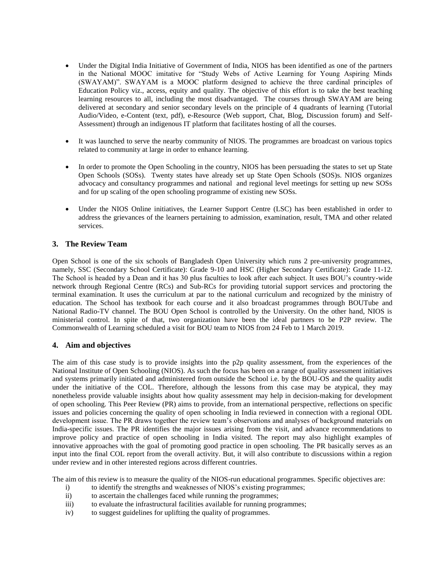- Under the Digital India Initiative of Government of India, NIOS has been identified as one of the partners in the National MOOC imitative for "Study Webs of Active Learning for Young Aspiring Minds (SWAYAM)". SWAYAM is a MOOC platform designed to achieve the three cardinal principles of Education Policy viz., access, equity and quality. The objective of this effort is to take the best teaching learning resources to all, including the most disadvantaged. The courses through SWAYAM are being delivered at secondary and senior secondary levels on the principle of 4 quadrants of learning (Tutorial Audio/Video, e-Content (text, pdf), e-Resource (Web support, Chat, Blog, Discussion forum) and Self-Assessment) through an indigenous IT platform that facilitates hosting of all the courses.
- It was launched to serve the nearby community of NIOS. The programmes are broadcast on various topics related to community at large in order to enhance learning.
- In order to promote the Open Schooling in the country, NIOS has been persuading the states to set up State Open Schools (SOSs). Twenty states have already set up State Open Schools (SOS)s. NIOS organizes advocacy and consultancy programmes and national and regional level meetings for setting up new SOSs and for up scaling of the open schooling programme of existing new SOSs.
- Under the NIOS Online initiatives, the Learner Support Centre (LSC) has been established in order to address the grievances of the learners pertaining to admission, examination, result, TMA and other related services.

# **3. The Review Team**

Open School is one of the six schools of Bangladesh Open University which runs 2 pre-university programmes, namely, SSC (Secondary School Certificate): Grade 9-10 and HSC (Higher Secondary Certificate): Grade 11-12. The School is headed by a Dean and it has 30 plus faculties to look after each subject. It uses BOU's country-wide network through Regional Centre (RCs) and Sub-RCs for providing tutorial support services and proctoring the terminal examination. It uses the curriculum at par to the national curriculum and recognized by the ministry of education. The School has textbook for each course and it also broadcast programmes through BOUTube and National Radio-TV channel. The BOU Open School is controlled by the University. On the other hand, NIOS is ministerial control. In spite of that, two organization have been the ideal partners to be P2P review. The Commonwealth of Learning scheduled a visit for BOU team to NIOS from 24 Feb to 1 March 2019.

## **4. Aim and objectives**

The aim of this case study is to provide insights into the p2p quality assessment, from the experiences of the National Institute of Open Schooling (NIOS). As such the focus has been on a range of quality assessment initiatives and systems primarily initiated and administered from outside the School i.e. by the BOU-OS and the quality audit under the initiative of the COL. Therefore, although the lessons from this case may be atypical, they may nonetheless provide valuable insights about how quality assessment may help in decision-making for development of open schooling. This Peer Review (PR) aims to provide, from an international perspective, reflections on specific issues and policies concerning the quality of open schooling in India reviewed in connection with a regional ODL development issue. The PR draws together the review team's observations and analyses of background materials on India-specific issues. The PR identifies the major issues arising from the visit, and advance recommendations to improve policy and practice of open schooling in India visited. The report may also highlight examples of innovative approaches with the goal of promoting good practice in open schooling. The PR basically serves as an input into the final COL report from the overall activity. But, it will also contribute to discussions within a region under review and in other interested regions across different countries.

The aim of this review is to measure the quality of the NIOS-run educational programmes. Specific objectives are:

- i) to identify the strengths and weaknesses of NIOS's existing programmes;
- ii) to ascertain the challenges faced while running the programmes;
- iii) to evaluate the infrastructural facilities available for running programmes;
- iv) to suggest guidelines for uplifting the quality of programmes.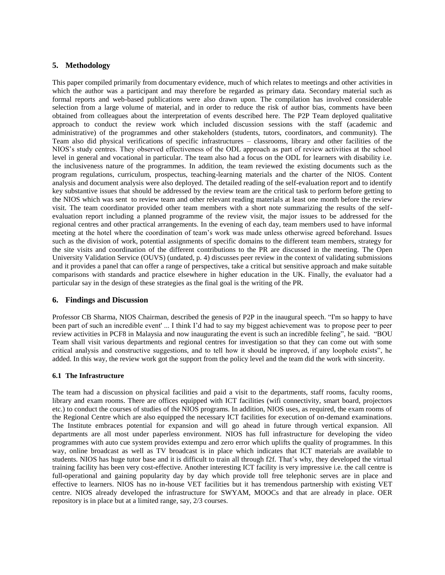## **5. Methodology**

This paper compiled primarily from documentary evidence, much of which relates to meetings and other activities in which the author was a participant and may therefore be regarded as primary data. Secondary material such as formal reports and web-based publications were also drawn upon. The compilation has involved considerable selection from a large volume of material, and in order to reduce the risk of author bias, comments have been obtained from colleagues about the interpretation of events described here. The P2P Team deployed qualitative approach to conduct the review work which included discussion sessions with the staff (academic and administrative) of the programmes and other stakeholders (students, tutors, coordinators, and community). The Team also did physical verifications of specific infrastructures – classrooms, library and other facilities of the NIOS's study centres. They observed effectiveness of the ODL approach as part of review activities at the school level in general and vocational in particular. The team also had a focus on the ODL for learners with disability i.e. the inclusiveness nature of the programmes. In addition, the team reviewed the existing documents such as the program regulations, curriculum, prospectus, teaching-learning materials and the charter of the NIOS. Content analysis and document analysis were also deployed. The detailed reading of the self-evaluation report and to identify key substantive issues that should be addressed by the review team are the critical task to perform before getting to the NIOS which was sent to review team and other relevant reading materials at least one month before the review visit. The team coordinator provided other team members with a short note summarizing the results of the selfevaluation report including a planned programme of the review visit, the major issues to be addressed for the regional centres and other practical arrangements. In the evening of each day, team members used to have informal meeting at the hotel where the coordination of team's work was made unless otherwise agreed beforehand. Issues such as the division of work, potential assignments of specific domains to the different team members, strategy for the site visits and coordination of the different contributions to the PR are discussed in the meeting. The Open University Validation Service (OUVS) (undated, p. 4) discusses peer review in the context of validating submissions and it provides a panel that can offer a range of perspectives, take a critical but sensitive approach and make suitable comparisons with standards and practice elsewhere in higher education in the UK. Finally, the evaluator had a particular say in the design of these strategies as the final goal is the writing of the PR.

## **6. Findings and Discussion**

Professor CB Sharma, NIOS Chairman, described the genesis of P2P in the inaugural speech. "I'm so happy to have been part of such an incredible event' ... I think I'd had to say my biggest achievement was to propose peer to peer review activities in PCF8 in Malaysia and now inaugurating the event is such an incredible feeling", he said. "BOU Team shall visit various departments and regional centres for investigation so that they can come out with some critical analysis and constructive suggestions, and to tell how it should be improved, if any loophole exists", he added. In this way, the review work got the support from the policy level and the team did the work with sincerity.

#### **6.1 The Infrastructure**

The team had a discussion on physical facilities and paid a visit to the departments, staff rooms, faculty rooms, library and exam rooms. There are offices equipped with ICT facilities (wifi connectivity, smart board, projectors etc.) to conduct the courses of studies of the NIOS programs. In addition, NIOS uses, as required, the exam rooms of the Regional Centre which are also equipped the necessary ICT facilities for execution of on-demand examinations. The Institute embraces potential for expansion and will go ahead in future through vertical expansion. All departments are all most under paperless environment. NIOS has full infrastructure for developing the video programmes with auto cue system provides extempu and zero error which uplifts the quality of programmes. In this way, online broadcast as well as TV broadcast is in place which indicates that ICT materials are available to students. NIOS has huge tutor base and it is difficult to train all through f2f. That's why, they developed the virtual training facility has been very cost-effective. Another interesting ICT facility is very impressive i.e. the call centre is full-operational and gaining popularity day by day which provide toll free telephonic serves are in place and effective to learners. NIOS has no in-house VET facilities but it has tremendous partnership with existing VET centre. NIOS already developed the infrastructure for SWYAM, MOOCs and that are already in place. OER repository is in place but at a limited range, say, 2/3 courses.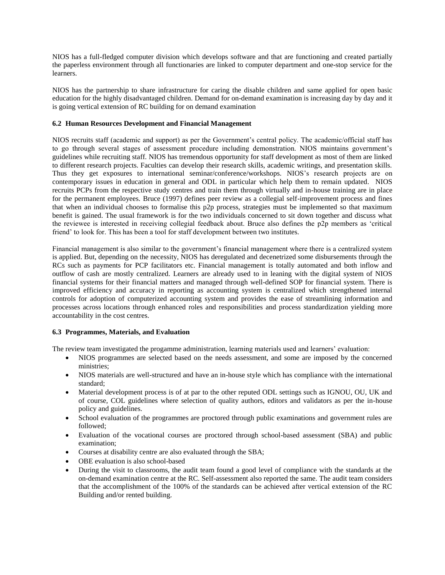NIOS has a full-fledged computer division which develops software and that are functioning and created partially the paperless environment through all functionaries are linked to computer department and one-stop service for the learners.

NIOS has the partnership to share infrastructure for caring the disable children and same applied for open basic education for the highly disadvantaged children. Demand for on-demand examination is increasing day by day and it is going vertical extension of RC building for on demand examination

#### **6.2 Human Resources Development and Financial Management**

NIOS recruits staff (academic and support) as per the Government's central policy. The academic/official staff has to go through several stages of assessment procedure including demonstration. NIOS maintains government's guidelines while recruiting staff. NIOS has tremendous opportunity for staff development as most of them are linked to different research projects. Faculties can develop their research skills, academic writings, and presentation skills. Thus they get exposures to international seminar/conference/workshops. NIOS's research projects are on contemporary issues in education in general and ODL in particular which help them to remain updated. NIOS recruits PCPs from the respective study centres and train them through virtually and in-house training are in place for the permanent employees. Bruce (1997) defines peer review as a collegial self-improvement process and fines that when an individual chooses to formalise this p2p process, strategies must be implemented so that maximum benefit is gained. The usual framework is for the two individuals concerned to sit down together and discuss what the reviewee is interested in receiving collegial feedback about. Bruce also defines the p2p members as 'critical friend' to look for. This has been a tool for staff development between two institutes.

Financial management is also similar to the government's financial management where there is a centralized system is applied. But, depending on the necessity, NIOS has deregulated and decenetrized some disbursements through the RCs such as payments for PCP facilitators etc. Financial management is totally automated and both inflow and outflow of cash are mostly centralized. Learners are already used to in leaning with the digital system of NIOS financial systems for their financial matters and managed through well-defined SOP for financial system. There is improved efficiency and accuracy in reporting as accounting system is centralized which strengthened internal controls for adoption of computerized accounting system and provides the ease of streamlining information and processes across locations through enhanced roles and responsibilities and process standardization yielding more accountability in the cost centres.

## **6.3 Programmes, Materials, and Evaluation**

The review team investigated the progamme administration, learning materials used and learners' evaluation:

- NIOS programmes are selected based on the needs assessment, and some are imposed by the concerned ministries;
- NIOS materials are well-structured and have an in-house style which has compliance with the international standard;
- Material development process is of at par to the other reputed ODL settings such as IGNOU, OU, UK and of course, COL guidelines where selection of quality authors, editors and validators as per the in-house policy and guidelines.
- School evaluation of the programmes are proctored through public examinations and government rules are followed;
- Evaluation of the vocational courses are proctored through school-based assessment (SBA) and public examination;
- Courses at disability centre are also evaluated through the SBA;
- OBE evaluation is also school-based
- During the visit to classrooms, the audit team found a good level of compliance with the standards at the on-demand examination centre at the RC. Self-assessment also reported the same. The audit team considers that the accomplishment of the 100% of the standards can be achieved after vertical extension of the RC Building and/or rented building.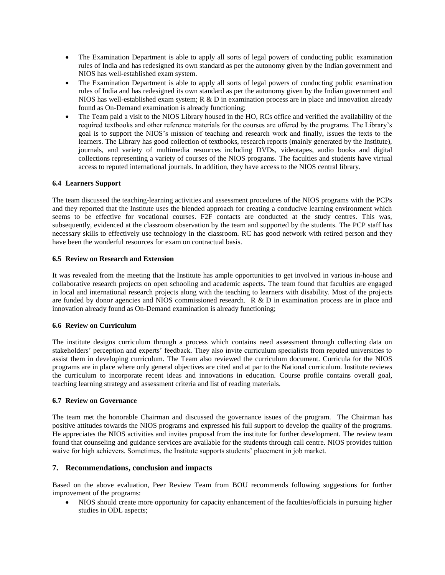- The Examination Department is able to apply all sorts of legal powers of conducting public examination rules of India and has redesigned its own standard as per the autonomy given by the Indian government and NIOS has well-established exam system.
- The Examination Department is able to apply all sorts of legal powers of conducting public examination rules of India and has redesigned its own standard as per the autonomy given by the Indian government and NIOS has well-established exam system; R & D in examination process are in place and innovation already found as On-Demand examination is already functioning;
- The Team paid a visit to the NIOS Library housed in the HO, RCs office and verified the availability of the required textbooks and other reference materials for the courses are offered by the programs. The Library's goal is to support the NIOS's mission of teaching and research work and finally, issues the texts to the learners. The Library has good collection of textbooks, research reports (mainly generated by the Institute), journals, and variety of multimedia resources including DVDs, videotapes, audio books and digital collections representing a variety of courses of the NIOS programs. The faculties and students have virtual access to reputed international journals. In addition, they have access to the NIOS central library.

## **6.4 Learners Support**

The team discussed the teaching-learning activities and assessment procedures of the NIOS programs with the PCPs and they reported that the Institute uses the blended approach for creating a conducive learning environment which seems to be effective for vocational courses. F2F contacts are conducted at the study centres. This was, subsequently, evidenced at the classroom observation by the team and supported by the students. The PCP staff has necessary skills to effectively use technology in the classroom. RC has good network with retired person and they have been the wonderful resources for exam on contractual basis.

#### **6.5 Review on Research and Extension**

It was revealed from the meeting that the Institute has ample opportunities to get involved in various in-house and collaborative research projects on open schooling and academic aspects. The team found that faculties are engaged in local and international research projects along with the teaching to learners with disability. Most of the projects are funded by donor agencies and NIOS commissioned research. R & D in examination process are in place and innovation already found as On-Demand examination is already functioning;

## **6.6 Review on Curriculum**

The institute designs curriculum through a process which contains need assessment through collecting data on stakeholders' perception and experts' feedback. They also invite curriculum specialists from reputed universities to assist them in developing curriculum. The Team also reviewed the curriculum document. Curricula for the NIOS programs are in place where only general objectives are cited and at par to the National curriculum. Institute reviews the curriculum to incorporate recent ideas and innovations in education. Course profile contains overall goal, teaching learning strategy and assessment criteria and list of reading materials.

#### **6.7 Review on Governance**

The team met the honorable Chairman and discussed the governance issues of the program. The Chairman has positive attitudes towards the NIOS programs and expressed his full support to develop the quality of the programs. He appreciates the NIOS activities and invites proposal from the institute for further development. The review team found that counseling and guidance services are available for the students through call centre. NIOS provides tuition waive for high achievers. Sometimes, the Institute supports students' placement in job market.

## **7. Recommendations, conclusion and impacts**

Based on the above evaluation, Peer Review Team from BOU recommends following suggestions for further improvement of the programs:

• NIOS should create more opportunity for capacity enhancement of the faculties/officials in pursuing higher studies in ODL aspects;